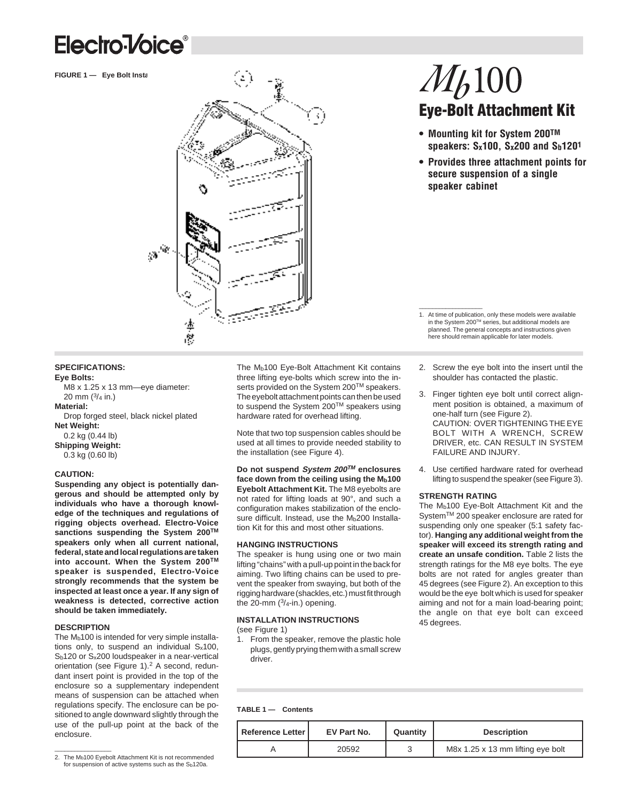## Electro-Voice<sup>®</sup>

**FIGURE 1 - Eye Bolt Installation** 



# $M_b100$ **Eye-Bolt Attachment Kit**

- **Mounting kit for System 200TM speakers: Sx100, Sx200 and Sb1201**
- **Provides three attachment points for secure suspension of a single speaker cabinet**

**SPECIFICATIONS:**

#### **Eye Bolts:**

M8 x 1.25 x 13 mm—eye diameter: 20 mm (3/4 in.) **Material:** Drop forged steel, black nickel plated **Net Weight:** 0.2 kg (0.44 lb) **Shipping Weight:** 0.3 kg (0.60 lb)

#### **CAUTION:**

**Suspending any object is potentially dangerous and should be attempted only by individuals who have a thorough knowledge of the techniques and regulations of rigging objects overhead. Electro-Voice sanctions suspending the System 200TM speakers only when all current national, federal, state and local regulations are taken into account. When the System 200TM speaker is suspended, Electro-Voice strongly recommends that the system be inspected at least once a year. If any sign of weakness is detected, corrective action should be taken immediately.**

#### **DESCRIPTION**

The  $M<sub>b</sub>100$  is intended for very simple installations only, to suspend an individual  $S_x100$ , Sb120 or Sx200 loudspeaker in a near-vertical orientation (see Figure 1).<sup>2</sup> A second, redundant insert point is provided in the top of the enclosure so a supplementary independent means of suspension can be attached when regulations specify. The enclosure can be positioned to angle downward slightly through the use of the pull-up point at the back of the enclosure.

The M<sub>b</sub>100 Eye-Bolt Attachment Kit contains three lifting eye-bolts which screw into the inserts provided on the System 200™ speakers. The eyebolt attachment points can then be used to suspend the System 200™ speakers using hardware rated for overhead lifting.

Note that two top suspension cables should be used at all times to provide needed stability to the installation (see Figure 4).

**Do not suspend System 200TM enclosures** face down from the ceiling using the M<sub>b</sub>100 **Eyebolt Attachment Kit.** The M8 eyebolts are not rated for lifting loads at 90°, and such a configuration makes stabilization of the enclosure difficult. Instead, use the Mb200 Installation Kit for this and most other situations.

#### **HANGING INSTRUCTIONS**

The speaker is hung using one or two main lifting "chains" with a pull-up point in the back for aiming. Two lifting chains can be used to prevent the speaker from swaying, but both of the rigging hardware (shackles, etc.) must fit through the 20-mm  $(3/4$ -in.) opening.

#### **INSTALLATION INSTRUCTIONS**

(see Figure 1)

1. From the speaker, remove the plastic hole plugs, gently prying them with a small screw driver.

2. Screw the eye bolt into the insert until the shoulder has contacted the plastic.

1. At time of publication, only these models were available in the System 200TM series, but additional models are planned. The general concepts and instructions given here should remain applicable for later models.

- 3. Finger tighten eye bolt until correct alignment position is obtained, a maximum of one-half turn (see Figure 2). CAUTION: OVER TIGHTENING THE EYE BOLT WITH A WRENCH, SCREW DRIVER, etc. CAN RESULT IN SYSTEM FAILURE AND INJURY.
- 4. Use certified hardware rated for overhead lifting to suspend the speaker (see Figure 3).

#### **STRENGTH RATING**

\_\_\_\_\_\_\_\_\_\_\_\_\_\_\_\_\_\_\_

The Mb100 Eye-Bolt Attachment Kit and the System™ 200 speaker enclosure are rated for suspending only one speaker (5:1 safety factor). **Hanging any additional weight from the speaker will exceed its strength rating and create an unsafe condition.** Table 2 lists the strength ratings for the M8 eye bolts. The eye bolts are not rated for angles greater than 45 degrees (see Figure 2). An exception to this would be the eye bolt which is used for speaker aiming and not for a main load-bearing point; the angle on that eye bolt can exceed 45 degrees.

#### **TABLE 1 — Contents**

| use of the pull-up point at the back of the<br>enclosure. | Reference Letter | EV Part No. | Quantity | <b>Description</b>                |
|-----------------------------------------------------------|------------------|-------------|----------|-----------------------------------|
| 2. The Mb100 Eyebolt Attachment Kit is not recommended    |                  | 20592       |          | M8x 1.25 x 13 mm lifting eye bolt |
|                                                           |                  |             |          |                                   |

2. The Mb100 Eyebolt Attachment Kit is not recommended for suspension of active systems such as the Sb120a.